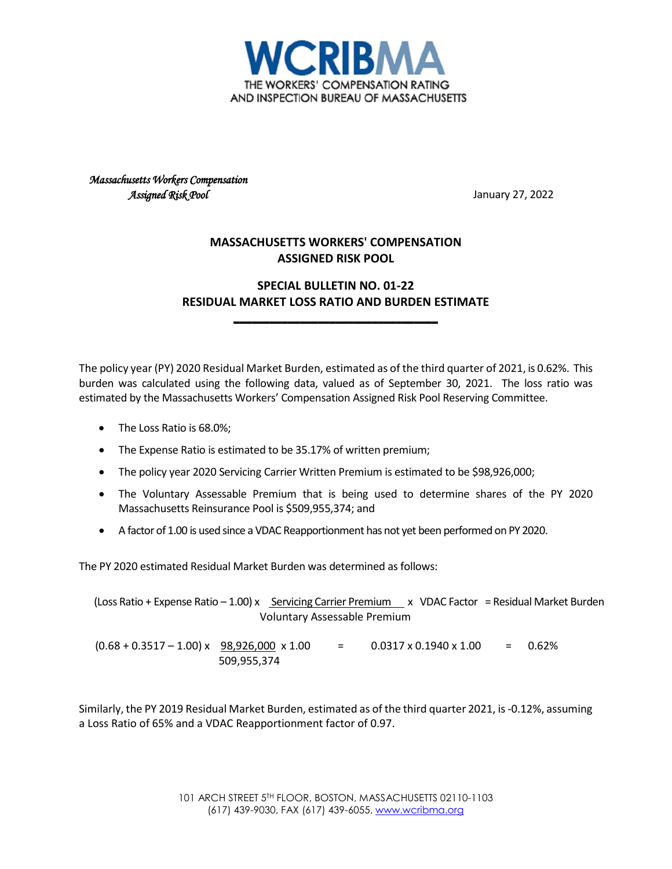

*Massachusetts Workers Compensation Assigned Risk Pool* January 27, 2022

## **MASSACHUSETTS WORKERS' COMPENSATION ASSIGNED RISK POOL**

## **SPECIAL BULLETIN NO. 01-22 RESIDUAL MARKET LOSS RATIO AND BURDEN ESTIMATE**

**\_\_\_\_\_\_\_\_\_\_\_\_\_\_\_\_\_\_\_\_\_\_\_\_\_\_\_\_\_\_\_\_\_\_**

The policy year (PY) 2020 Residual Market Burden, estimated as of the third quarter of 2021, is 0.62%. This burden was calculated using the following data, valued as of September 30, 2021. The loss ratio was estimated by the Massachusetts Workers' Compensation Assigned Risk Pool Reserving Committee.

- The Loss Ratio is 68.0%;
- The Expense Ratio is estimated to be 35.17% of written premium;
- The policy year 2020 Servicing Carrier Written Premium is estimated to be \$98,926,000;
- The Voluntary Assessable Premium that is being used to determine shares of the PY 2020 Massachusetts Reinsurance Pool is \$509,955,374; and
- A factor of 1.00 is used since a VDAC Reapportionment has not yet been performed on PY 2020.

The PY 2020 estimated Residual Market Burden was determined as follows:

 (Loss Ratio + Expense Ratio – 1.00) x Servicing Carrier Premium x VDAC Factor = Residual Market Burden Voluntary Assessable Premium  $(0.68 + 0.3517 - 1.00) \times \frac{98,926,000 \times 1.00}{2} = 0.0317 \times 0.1940 \times 1.00 = 0.62\%$ 509,955,374

Similarly, the PY 2019 Residual Market Burden, estimated as of the third quarter 2021, is-0.12%, assuming a Loss Ratio of 65% and a VDAC Reapportionment factor of 0.97.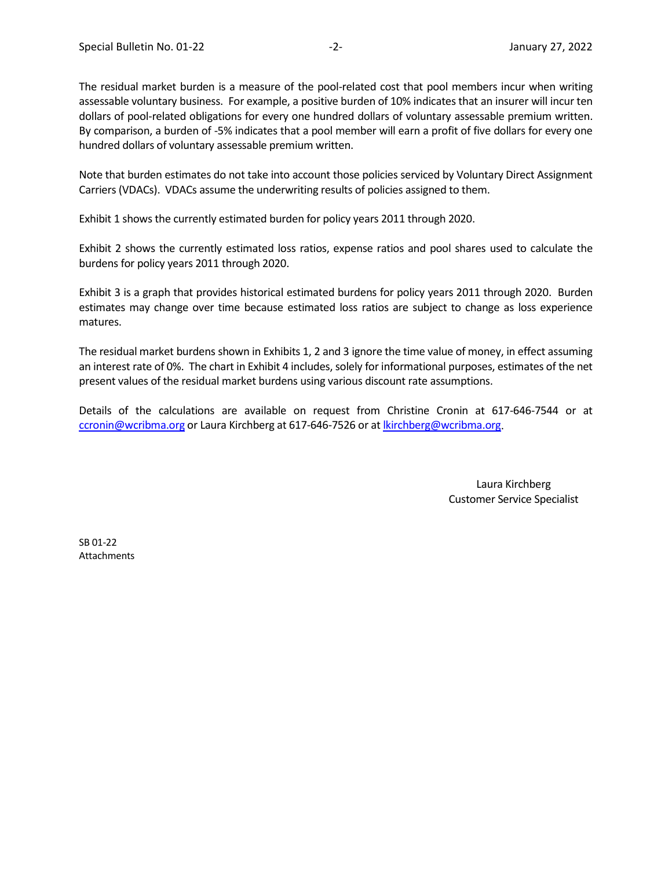The residual market burden is a measure of the pool-related cost that pool members incur when writing assessable voluntary business. For example, a positive burden of 10% indicates that an insurer will incur ten dollars of pool-related obligations for every one hundred dollars of voluntary assessable premium written. By comparison, a burden of -5% indicates that a pool member will earn a profit of five dollars for every one hundred dollars of voluntary assessable premium written.

Note that burden estimates do not take into account those policies serviced by Voluntary Direct Assignment Carriers (VDACs). VDACs assume the underwriting results of policies assigned to them.

Exhibit 1 shows the currently estimated burden for policy years 2011 through 2020.

Exhibit 2 shows the currently estimated loss ratios, expense ratios and pool shares used to calculate the burdens for policy years 2011 through 2020.

Exhibit 3 is a graph that provides historical estimated burdens for policy years 2011 through 2020. Burden estimates may change over time because estimated loss ratios are subject to change as loss experience matures.

The residual market burdens shown in Exhibits 1, 2 and 3 ignore the time value of money, in effect assuming an interest rate of 0%. The chart in Exhibit 4 includes, solely for informational purposes, estimates of the net present values of the residual market burdens using various discount rate assumptions.

Details of the calculations are available on request from Christine Cronin at 617-646-7544 or at [ccronin@wcribma.org](mailto:ccronin@wcribma.org) or Laura Kirchberg at 617-646-7526 or at [lkirchberg@wcribma.org.](mailto:lkirchberg@wcribma.org)

> Laura Kirchberg Customer Service Specialist

SB 01-22 Attachments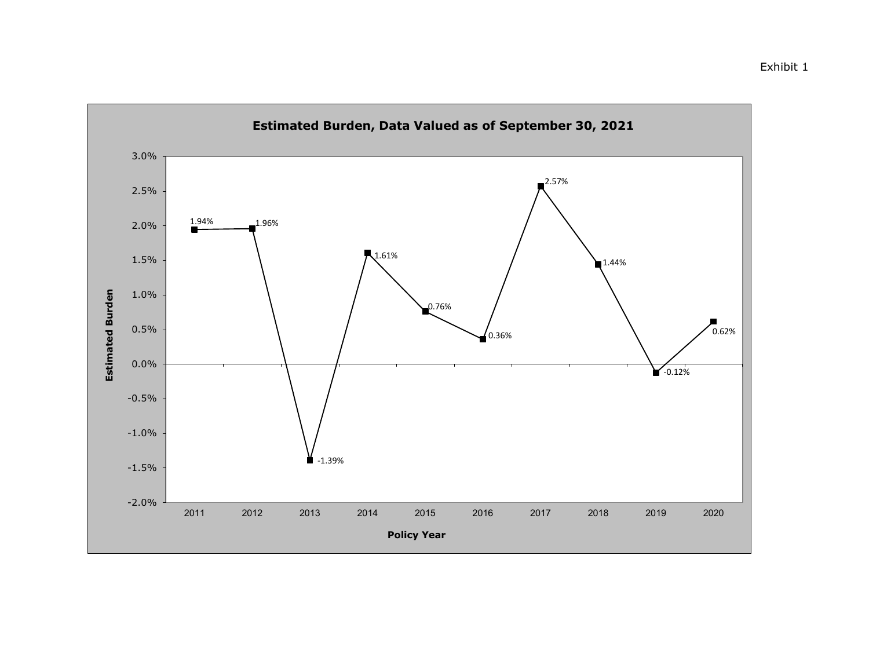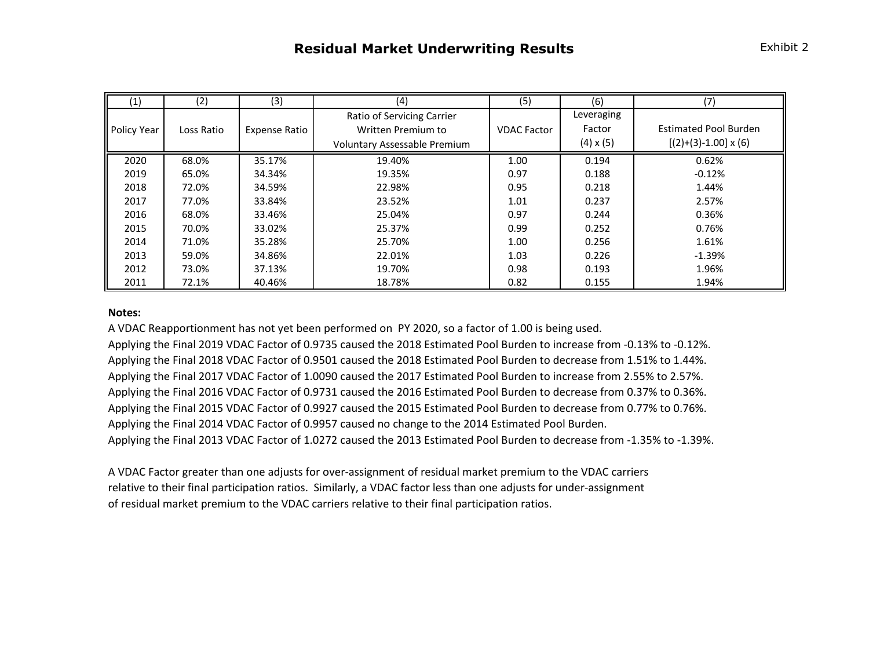| (1)         | (2)        | (3)                  | (4)                          | (5)                | (6)              | (7)                          |  |
|-------------|------------|----------------------|------------------------------|--------------------|------------------|------------------------------|--|
|             |            |                      | Ratio of Servicing Carrier   |                    | Leveraging       |                              |  |
| Policy Year | Loss Ratio | <b>Expense Ratio</b> | Written Premium to           | <b>VDAC Factor</b> | Factor           | <b>Estimated Pool Burden</b> |  |
|             |            |                      | Voluntary Assessable Premium |                    | $(4) \times (5)$ | $[(2)+(3)-1.00] \times (6)$  |  |
| 2020        | 68.0%      | 35.17%               | 19.40%                       | 1.00               | 0.194            | 0.62%                        |  |
| 2019        | 65.0%      | 34.34%               | 19.35%                       | 0.97               | 0.188            | $-0.12%$                     |  |
| 2018        | 72.0%      | 34.59%               | 22.98%                       | 0.95               | 0.218            | 1.44%                        |  |
| 2017        | 77.0%      | 33.84%               | 23.52%                       | 1.01               | 0.237            | 2.57%                        |  |
| 2016        | 68.0%      | 33.46%               | 25.04%                       | 0.97               | 0.244            | 0.36%                        |  |
| 2015        | 70.0%      | 33.02%               | 25.37%                       | 0.99               | 0.252            | 0.76%                        |  |
| 2014        | 71.0%      | 35.28%               | 25.70%                       | 1.00               | 0.256            | 1.61%                        |  |
| 2013        | 59.0%      | 34.86%               | 22.01%                       | 1.03               | 0.226            | $-1.39%$                     |  |
| 2012        | 73.0%      | 37.13%               | 19.70%                       | 0.98               | 0.193            | 1.96%                        |  |
| 2011        | 72.1%      | 40.46%               | 18.78%                       | 0.82               | 0.155            | 1.94%                        |  |

## **Notes:**

A VDAC Reapportionment has not yet been performed on PY 2020, so a factor of 1.00 is being used.

Applying the Final 2019 VDAC Factor of 0.9735 caused the 2018 Estimated Pool Burden to increase from -0.13% to -0.12%. Applying the Final 2018 VDAC Factor of 0.9501 caused the 2018 Estimated Pool Burden to decrease from 1.51% to 1.44%. Applying the Final 2017 VDAC Factor of 1.0090 caused the 2017 Estimated Pool Burden to increase from 2.55% to 2.57%. Applying the Final 2016 VDAC Factor of 0.9731 caused the 2016 Estimated Pool Burden to decrease from 0.37% to 0.36%. Applying the Final 2015 VDAC Factor of 0.9927 caused the 2015 Estimated Pool Burden to decrease from 0.77% to 0.76%. Applying the Final 2014 VDAC Factor of 0.9957 caused no change to the 2014 Estimated Pool Burden. Applying the Final 2013 VDAC Factor of 1.0272 caused the 2013 Estimated Pool Burden to decrease from -1.35% to -1.39%.

A VDAC Factor greater than one adjusts for over-assignment of residual market premium to the VDAC carriers relative to their final participation ratios. Similarly, a VDAC factor less than one adjusts for under-assignment of residual market premium to the VDAC carriers relative to their final participation ratios.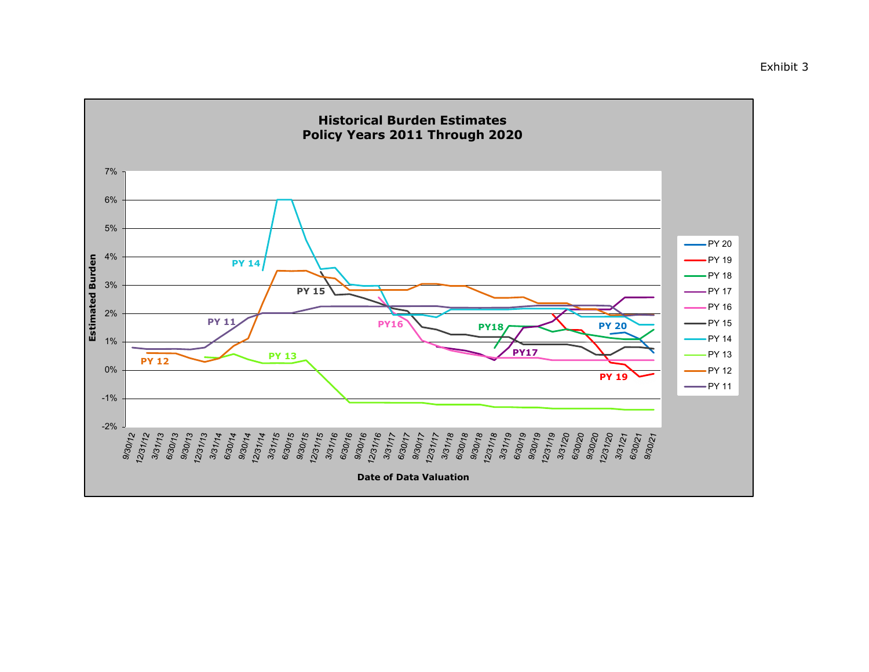